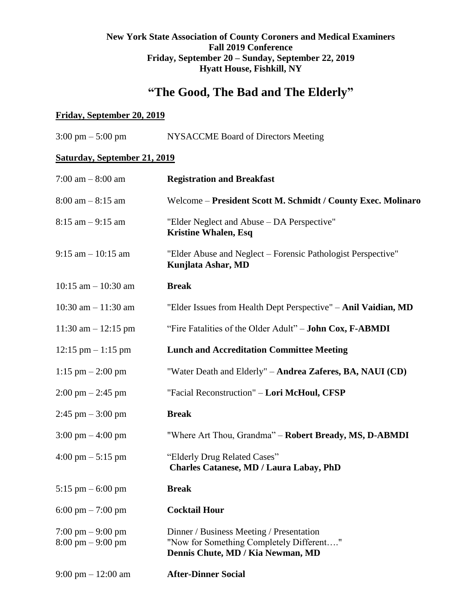## **New York State Association of County Coroners and Medical Examiners Fall 2019 Conference Friday, September 20 – Sunday, September 22, 2019 Hyatt House, Fishkill, NY**

# **"The Good, The Bad and The Elderly"**

## **Friday, September 20, 2019**

| $3:00 \text{ pm} - 5:00 \text{ pm}$                                        | NYSACCME Board of Directors Meeting                                                                                       |
|----------------------------------------------------------------------------|---------------------------------------------------------------------------------------------------------------------------|
| <b>Saturday, September 21, 2019</b>                                        |                                                                                                                           |
| 7:00 am $-8:00$ am                                                         | <b>Registration and Breakfast</b>                                                                                         |
| $8:00$ am $-8:15$ am                                                       | Welcome - President Scott M. Schmidt / County Exec. Molinaro                                                              |
| $8:15$ am $-9:15$ am                                                       | "Elder Neglect and Abuse – DA Perspective"<br><b>Kristine Whalen, Esq</b>                                                 |
| $9:15$ am $-10:15$ am                                                      | "Elder Abuse and Neglect – Forensic Pathologist Perspective"<br>Kunjlata Ashar, MD                                        |
| $10:15$ am $- 10:30$ am                                                    | <b>Break</b>                                                                                                              |
| 10:30 am $- 11:30$ am                                                      | "Elder Issues from Health Dept Perspective" - Anil Vaidian, MD                                                            |
| 11:30 am $- 12:15$ pm                                                      | "Fire Fatalities of the Older Adult" - John Cox, F-ABMDI                                                                  |
| $12:15$ pm $-1:15$ pm                                                      | <b>Lunch and Accreditation Committee Meeting</b>                                                                          |
| $1:15$ pm $- 2:00$ pm                                                      | "Water Death and Elderly" - Andrea Zaferes, BA, NAUI (CD)                                                                 |
| $2:00 \text{ pm} - 2:45 \text{ pm}$                                        | "Facial Reconstruction" - Lori McHoul, CFSP                                                                               |
| $2:45$ pm $-3:00$ pm                                                       | <b>Break</b>                                                                                                              |
| $3:00 \text{ pm} - 4:00 \text{ pm}$                                        | "Where Art Thou, Grandma" - Robert Bready, MS, D-ABMDI                                                                    |
| $4:00 \text{ pm} - 5:15 \text{ pm}$                                        | "Elderly Drug Related Cases"<br><b>Charles Catanese, MD / Laura Labay, PhD</b>                                            |
| 5:15 pm $-$ 6:00 pm                                                        | <b>Break</b>                                                                                                              |
| 6:00 pm $- 7:00$ pm                                                        | <b>Cocktail Hour</b>                                                                                                      |
| $7:00 \text{ pm} - 9:00 \text{ pm}$<br>$8:00 \text{ pm} - 9:00 \text{ pm}$ | Dinner / Business Meeting / Presentation<br>"Now for Something Completely Different"<br>Dennis Chute, MD / Kia Newman, MD |
| $9:00 \text{ pm} - 12:00 \text{ am}$                                       | <b>After-Dinner Social</b>                                                                                                |